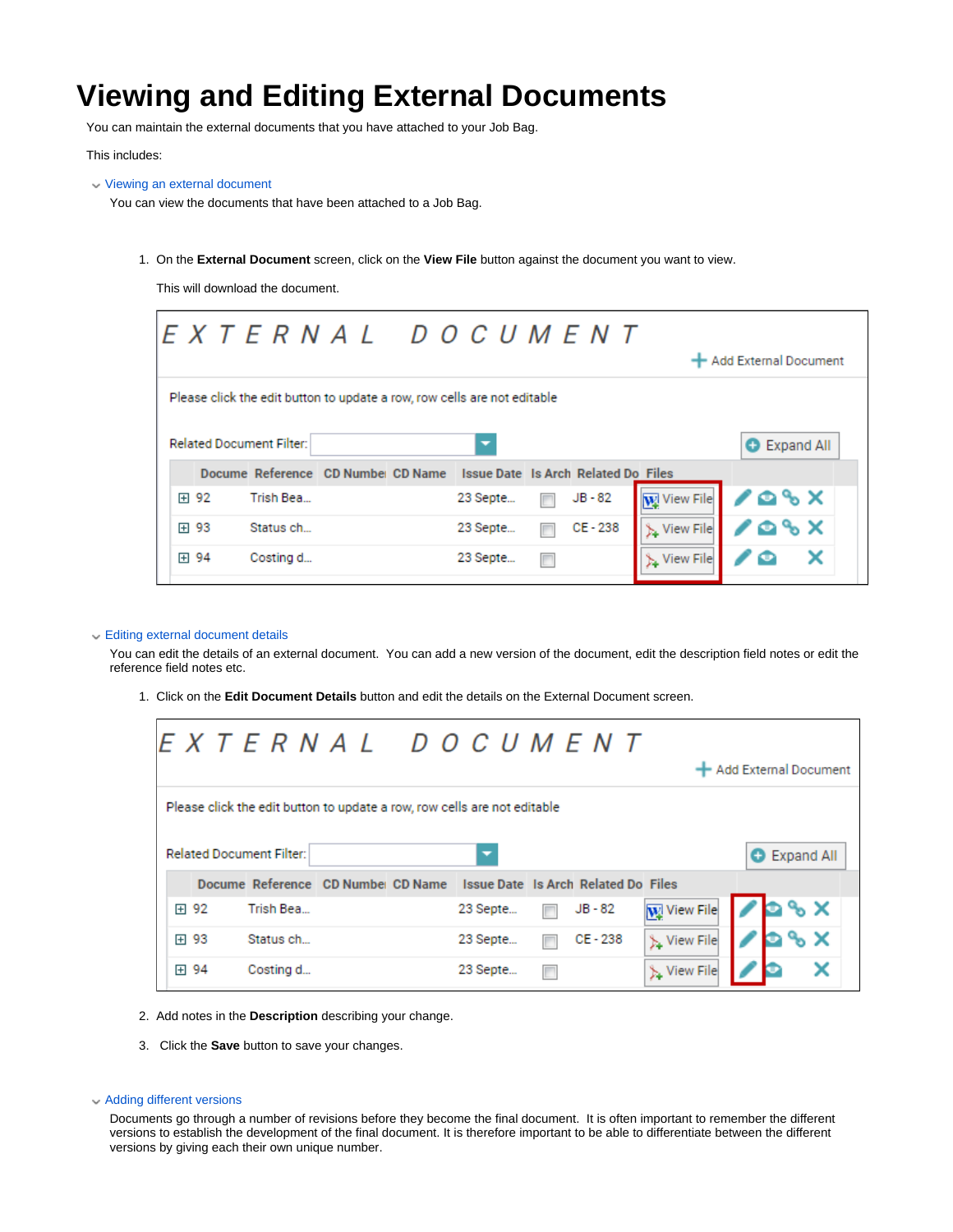# **Viewing and Editing External Documents**

You can maintain the external documents that you have attached to your Job Bag.

This includes:

Viewing an external document

You can view the documents that have been attached to a Job Bag.

1. On the **External Document** screen, click on the **View File** button against the document you want to view.

This will download the document.

| <b>Related Document Filter:</b><br>Docume Reference CD Number CD Name<br><b>Issue Date Is Arch Related Do Files</b><br><b>W</b> View File<br>$JB - 82$<br>田 92<br>23 Septe<br>Trish Bea | EXTERNAL DOCUMENT                                                        |  |  |  |  |  |  |  |  |
|-----------------------------------------------------------------------------------------------------------------------------------------------------------------------------------------|--------------------------------------------------------------------------|--|--|--|--|--|--|--|--|
|                                                                                                                                                                                         | Add External Document                                                    |  |  |  |  |  |  |  |  |
|                                                                                                                                                                                         | Please click the edit button to update a row, row cells are not editable |  |  |  |  |  |  |  |  |
|                                                                                                                                                                                         | <b>Expand All</b><br>o                                                   |  |  |  |  |  |  |  |  |
|                                                                                                                                                                                         |                                                                          |  |  |  |  |  |  |  |  |
|                                                                                                                                                                                         | ∕≏°×                                                                     |  |  |  |  |  |  |  |  |
| CE-238<br>田 93<br>View File<br>Status ch<br>23 Septe                                                                                                                                    | 108X                                                                     |  |  |  |  |  |  |  |  |
| 田 94<br>23 Septe<br>View File<br>Costing d                                                                                                                                              |                                                                          |  |  |  |  |  |  |  |  |

#### Editing external document details

You can edit the details of an external document. You can add a new version of the document, edit the description field notes or edit the reference field notes etc.

1. Click on the **Edit Document Details** button and edit the details on the External Document screen.

|      |                                 |  |                                                                          |          |  | EXTERNAL DOCUMENT                                                      |                    | + Add External Document |  |     |                     |  |
|------|---------------------------------|--|--------------------------------------------------------------------------|----------|--|------------------------------------------------------------------------|--------------------|-------------------------|--|-----|---------------------|--|
|      |                                 |  | Please click the edit button to update a row, row cells are not editable |          |  |                                                                        |                    |                         |  |     |                     |  |
|      | <b>Related Document Filter:</b> |  |                                                                          |          |  |                                                                        |                    |                         |  |     | <b>O</b> Expand All |  |
|      |                                 |  |                                                                          |          |  | Docume Reference CD Numbei CD Name Issue Date Is Arch Related Do Files |                    |                         |  |     |                     |  |
| 田 92 | Trish Bea                       |  |                                                                          | 23 Septe |  | JB - 82                                                                | W View File        |                         |  | % × |                     |  |
| 田 93 | Status ch                       |  |                                                                          | 23 Septe |  | CE-238                                                                 | View File          |                         |  |     |                     |  |
| 田 94 | Costing d                       |  |                                                                          | 23 Septe |  |                                                                        | <b>X</b> View File |                         |  |     |                     |  |

- 2. Add notes in the **Description** describing your change.
- 3. Click the **Save** button to save your changes.
- Adding different versions

Documents go through a number of revisions before they become the final document. It is often important to remember the different versions to establish the development of the final document. It is therefore important to be able to differentiate between the different versions by giving each their own unique number.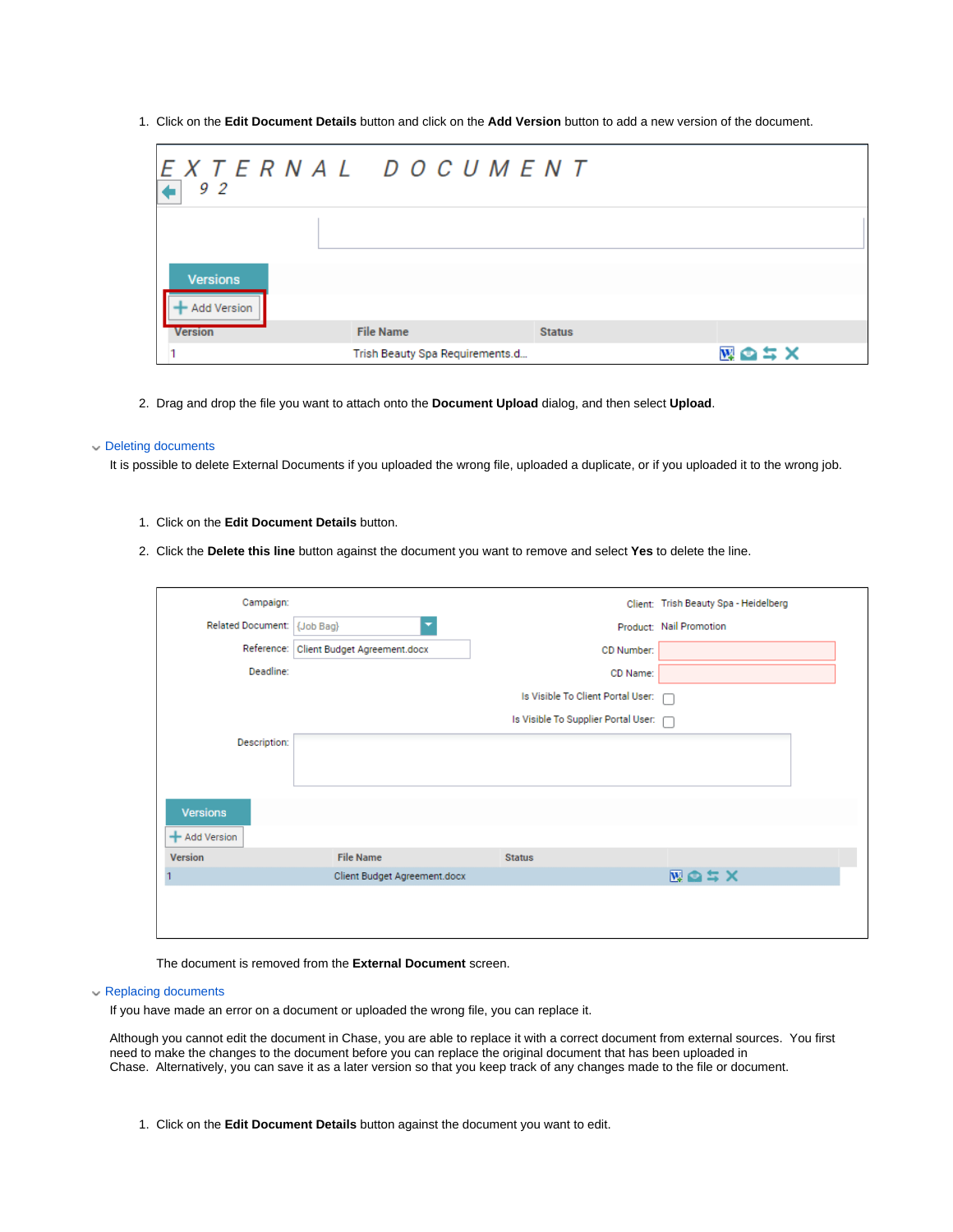1. Click on the **Edit Document Details** button and click on the **Add Version** button to add a new version of the document.

| 92                                    | EXTERNAL DOCUMENT               |               |      |
|---------------------------------------|---------------------------------|---------------|------|
| <b>Versions</b><br><b>Add Version</b> |                                 |               |      |
| <b>Version</b>                        | <b>File Name</b>                | <b>Status</b> |      |
|                                       | Trish Beauty Spa Requirements.d |               | 図画コメ |

2. Drag and drop the file you want to attach onto the **Document Upload** dialog, and then select **Upload**.

#### Deleting documents

It is possible to delete External Documents if you uploaded the wrong file, uploaded a duplicate, or if you uploaded it to the wrong job.

- 1. Click on the **Edit Document Details** button.
- 2. Click the **Delete this line** button against the document you want to remove and select **Yes** to delete the line.

| Campaign:                   |                              |                                     | Client: Trish Beauty Spa - Heidelberg |
|-----------------------------|------------------------------|-------------------------------------|---------------------------------------|
| Related Document: {Job Bag} |                              |                                     | Product: Nail Promotion               |
| Reference:                  | Client Budget Agreement.docx | CD Number:                          |                                       |
| Deadline:                   |                              | CD Name:                            |                                       |
|                             |                              | Is Visible To Client Portal User: n |                                       |
|                             |                              | Is Visible To Supplier Portal User: |                                       |
| Description:                |                              |                                     |                                       |
|                             |                              |                                     |                                       |
|                             |                              |                                     |                                       |
| <b>Versions</b>             |                              |                                     |                                       |
| + Add Version               |                              |                                     |                                       |
| <b>Version</b>              | <b>File Name</b>             | <b>Status</b>                       |                                       |
|                             | Client Budget Agreement.docx |                                     | 図画コス                                  |
|                             |                              |                                     |                                       |
|                             |                              |                                     |                                       |
|                             |                              |                                     |                                       |

The document is removed from the **External Document** screen.

### Replacing documents

If you have made an error on a document or uploaded the wrong file, you can replace it.

Although you cannot edit the document in Chase, you are able to replace it with a correct document from external sources. You first need to make the changes to the document before you can replace the original document that has been uploaded in Chase. Alternatively, you can save it as a later version so that you keep track of any changes made to the file or document.

1. Click on the **Edit Document Details** button against the document you want to edit.